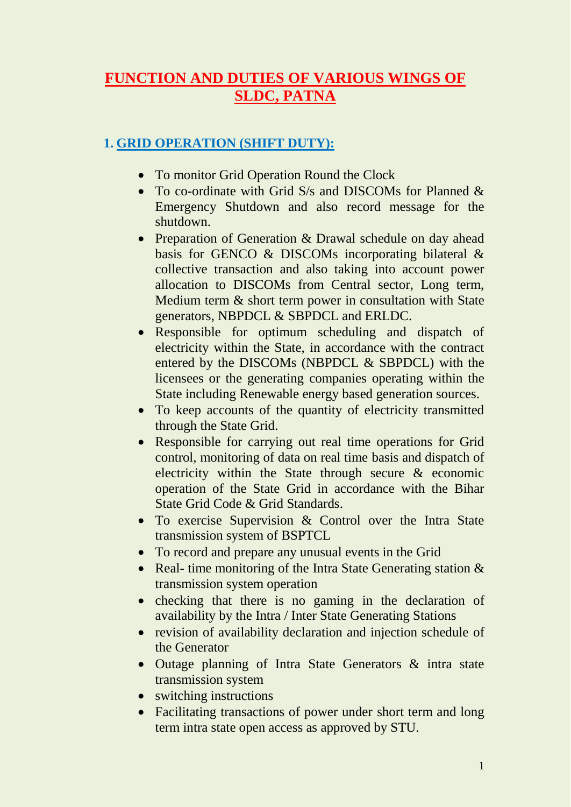# **FUNCTION AND DUTIES OF VARIOUS WINGS OF SLDC, PATNA**

## **1. GRID OPERATION (SHIFT DUTY):**

- To monitor Grid Operation Round the Clock
- To co-ordinate with Grid S/s and DISCOMs for Planned & Emergency Shutdown and also record message for the shutdown.
- Preparation of Generation & Drawal schedule on day ahead basis for GENCO & DISCOMs incorporating bilateral & collective transaction and also taking into account power allocation to DISCOMs from Central sector, Long term, Medium term & short term power in consultation with State generators, NBPDCL & SBPDCL and ERLDC.
- Responsible for optimum scheduling and dispatch of electricity within the State, in accordance with the contract entered by the DISCOMs (NBPDCL & SBPDCL) with the licensees or the generating companies operating within the State including Renewable energy based generation sources.
- To keep accounts of the quantity of electricity transmitted through the State Grid.
- Responsible for carrying out real time operations for Grid control, monitoring of data on real time basis and dispatch of electricity within the State through secure & economic operation of the State Grid in accordance with the Bihar State Grid Code & Grid Standards.
- To exercise Supervision & Control over the Intra State transmission system of BSPTCL
- To record and prepare any unusual events in the Grid
- Real- time monitoring of the Intra State Generating station  $\&$ transmission system operation
- checking that there is no gaming in the declaration of availability by the Intra / Inter State Generating Stations
- revision of availability declaration and injection schedule of the Generator
- Outage planning of Intra State Generators & intra state transmission system
- switching instructions
- Facilitating transactions of power under short term and long term intra state open access as approved by STU.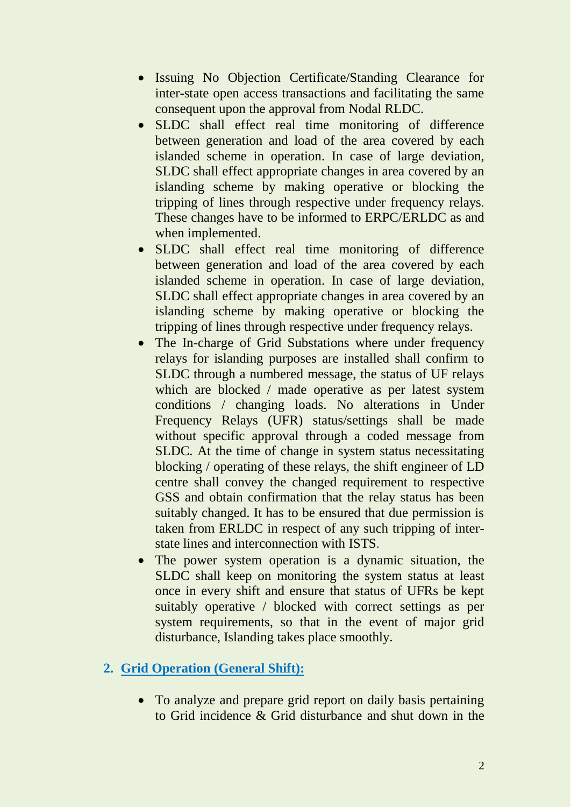- Issuing No Objection Certificate/Standing Clearance for inter-state open access transactions and facilitating the same consequent upon the approval from Nodal RLDC.
- SLDC shall effect real time monitoring of difference between generation and load of the area covered by each islanded scheme in operation. In case of large deviation, SLDC shall effect appropriate changes in area covered by an islanding scheme by making operative or blocking the tripping of lines through respective under frequency relays. These changes have to be informed to ERPC/ERLDC as and when implemented.
- SLDC shall effect real time monitoring of difference between generation and load of the area covered by each islanded scheme in operation. In case of large deviation, SLDC shall effect appropriate changes in area covered by an islanding scheme by making operative or blocking the tripping of lines through respective under frequency relays.
- The In-charge of Grid Substations where under frequency relays for islanding purposes are installed shall confirm to SLDC through a numbered message, the status of UF relays which are blocked / made operative as per latest system conditions / changing loads. No alterations in Under Frequency Relays (UFR) status/settings shall be made without specific approval through a coded message from SLDC. At the time of change in system status necessitating blocking / operating of these relays, the shift engineer of LD centre shall convey the changed requirement to respective GSS and obtain confirmation that the relay status has been suitably changed. It has to be ensured that due permission is taken from ERLDC in respect of any such tripping of interstate lines and interconnection with ISTS.
- The power system operation is a dynamic situation, the SLDC shall keep on monitoring the system status at least once in every shift and ensure that status of UFRs be kept suitably operative / blocked with correct settings as per system requirements, so that in the event of major grid disturbance, Islanding takes place smoothly.

## **2. Grid Operation (General Shift):**

• To analyze and prepare grid report on daily basis pertaining to Grid incidence & Grid disturbance and shut down in the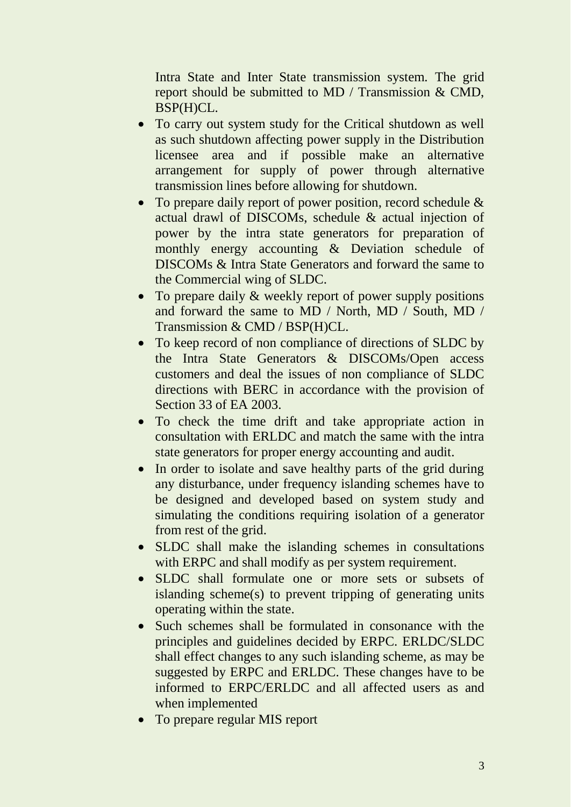Intra State and Inter State transmission system. The grid report should be submitted to MD / Transmission & CMD, BSP(H)CL.

- To carry out system study for the Critical shutdown as well as such shutdown affecting power supply in the Distribution licensee area and if possible make an alternative arrangement for supply of power through alternative transmission lines before allowing for shutdown.
- To prepare daily report of power position, record schedule & actual drawl of DISCOMs, schedule & actual injection of power by the intra state generators for preparation of monthly energy accounting & Deviation schedule of DISCOMs & Intra State Generators and forward the same to the Commercial wing of SLDC.
- To prepare daily & weekly report of power supply positions and forward the same to MD / North, MD / South, MD / Transmission & CMD / BSP(H)CL.
- To keep record of non compliance of directions of SLDC by the Intra State Generators & DISCOMs/Open access customers and deal the issues of non compliance of SLDC directions with BERC in accordance with the provision of Section 33 of EA 2003.
- To check the time drift and take appropriate action in consultation with ERLDC and match the same with the intra state generators for proper energy accounting and audit.
- In order to isolate and save healthy parts of the grid during any disturbance, under frequency islanding schemes have to be designed and developed based on system study and simulating the conditions requiring isolation of a generator from rest of the grid.
- SLDC shall make the islanding schemes in consultations with ERPC and shall modify as per system requirement.
- SLDC shall formulate one or more sets or subsets of islanding scheme(s) to prevent tripping of generating units operating within the state.
- Such schemes shall be formulated in consonance with the principles and guidelines decided by ERPC. ERLDC/SLDC shall effect changes to any such islanding scheme, as may be suggested by ERPC and ERLDC. These changes have to be informed to ERPC/ERLDC and all affected users as and when implemented
- To prepare regular MIS report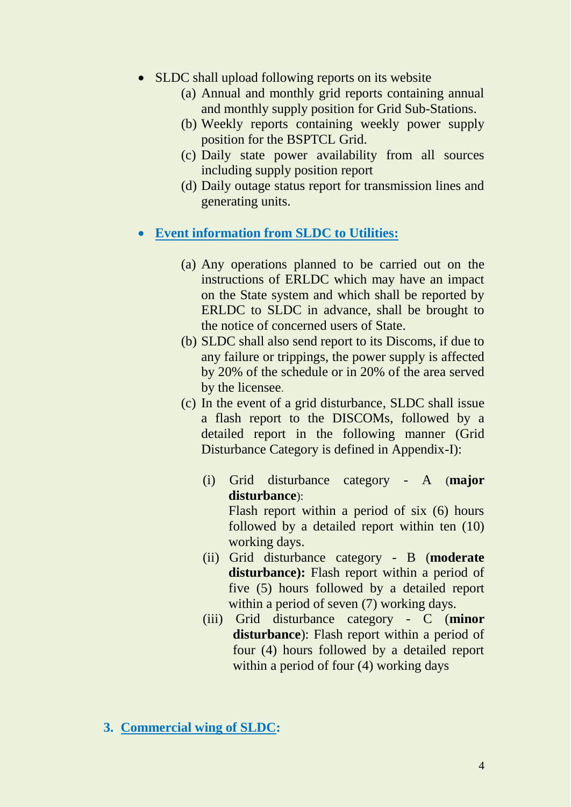- SLDC shall upload following reports on its website
	- (a) Annual and monthly grid reports containing annual and monthly supply position for Grid Sub-Stations.
	- (b) Weekly reports containing weekly power supply position for the BSPTCL Grid.
	- (c) Daily state power availability from all sources including supply position report
	- (d) Daily outage status report for transmission lines and generating units.

#### **Event information from SLDC to Utilities:**

- (a) Any operations planned to be carried out on the instructions of ERLDC which may have an impact on the State system and which shall be reported by ERLDC to SLDC in advance, shall be brought to the notice of concerned users of State.
- (b) SLDC shall also send report to its Discoms, if due to any failure or trippings, the power supply is affected by 20% of the schedule or in 20% of the area served by the licensee.
- (c) In the event of a grid disturbance, SLDC shall issue a flash report to the DISCOMs, followed by a detailed report in the following manner (Grid Disturbance Category is defined in Appendix-I):
	- (i) Grid disturbance category A (**major disturbance**): Flash report within a period of six (6) hours followed by a detailed report within ten (10) working days.
	- (ii) Grid disturbance category B (**moderate**  disturbance): Flash report within a period of five (5) hours followed by a detailed report within a period of seven (7) working days.
	- (iii) Grid disturbance category C (**minor disturbance**): Flash report within a period of four (4) hours followed by a detailed report within a period of four (4) working days
- **3. Commercial wing of SLDC:**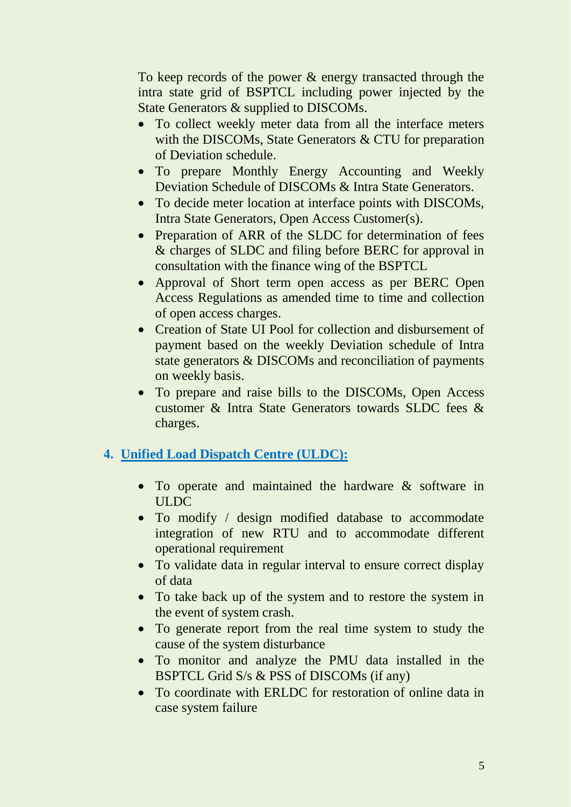To keep records of the power & energy transacted through the intra state grid of BSPTCL including power injected by the State Generators & supplied to DISCOMs.

- To collect weekly meter data from all the interface meters with the DISCOMs, State Generators & CTU for preparation of Deviation schedule.
- To prepare Monthly Energy Accounting and Weekly Deviation Schedule of DISCOMs & Intra State Generators.
- To decide meter location at interface points with DISCOMs, Intra State Generators, Open Access Customer(s).
- Preparation of ARR of the SLDC for determination of fees & charges of SLDC and filing before BERC for approval in consultation with the finance wing of the BSPTCL
- Approval of Short term open access as per BERC Open Access Regulations as amended time to time and collection of open access charges.
- Creation of State UI Pool for collection and disbursement of payment based on the weekly Deviation schedule of Intra state generators & DISCOMs and reconciliation of payments on weekly basis.
- To prepare and raise bills to the DISCOMs, Open Access customer & Intra State Generators towards SLDC fees & charges.

## **4. Unified Load Dispatch Centre (ULDC):**

- To operate and maintained the hardware  $\&$  software in ULDC
- To modify / design modified database to accommodate integration of new RTU and to accommodate different operational requirement
- To validate data in regular interval to ensure correct display of data
- To take back up of the system and to restore the system in the event of system crash.
- To generate report from the real time system to study the cause of the system disturbance
- To monitor and analyze the PMU data installed in the BSPTCL Grid S/s & PSS of DISCOMs (if any)
- To coordinate with ERLDC for restoration of online data in case system failure